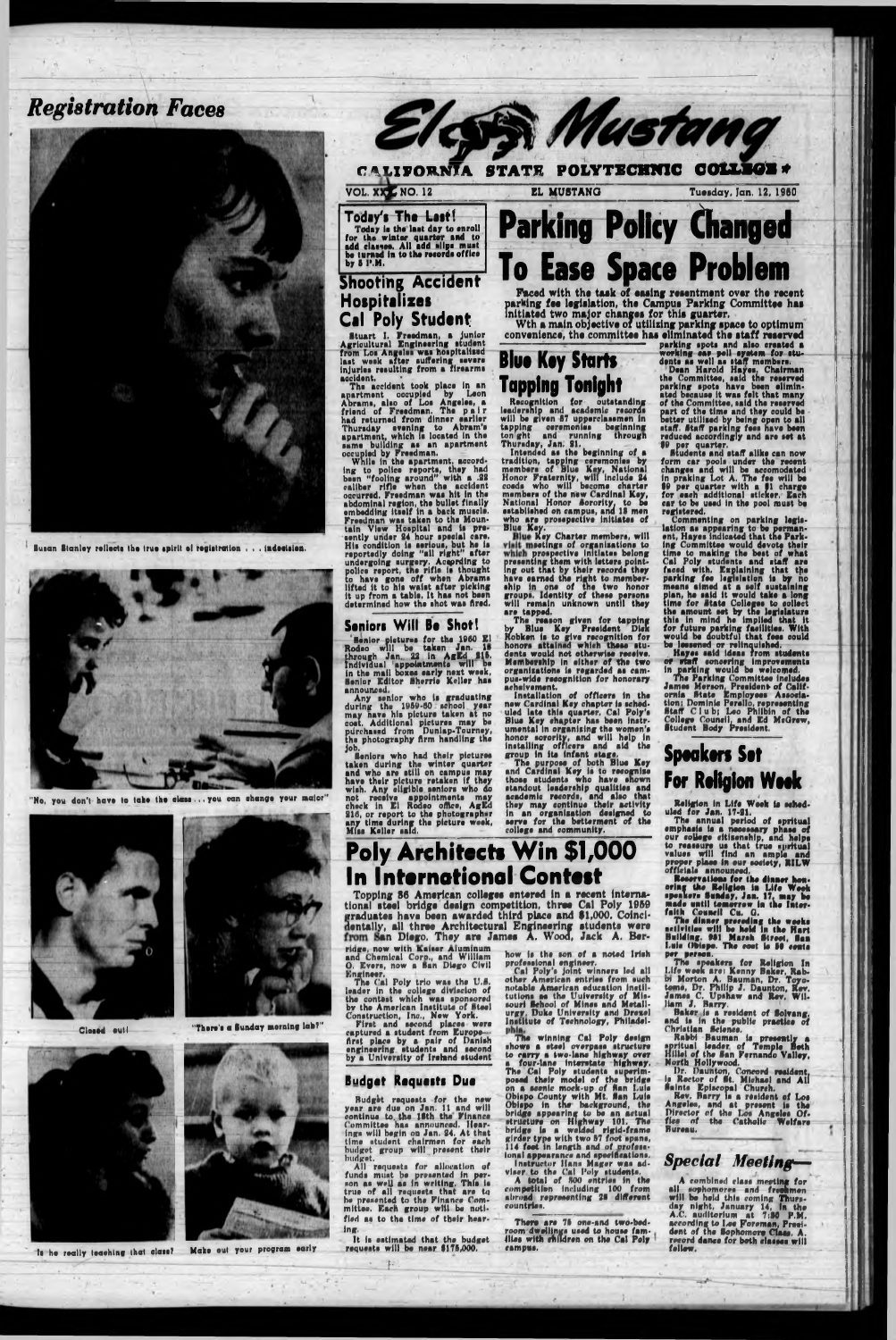## *Registration Faces*



Susan Stanley rellects the true spirit of registration , . . indecision.

v o l *xxjO*NO. 12 EL MUSTANG Tuesday, Jan. 12, 1960

**Today's The Last! Today la the laat day to snroll for tha winter quarter and to add classes. All add \*»llp\* must be turned In to the records office**

**by 6 I'.M.**

**Shooting Accident**

**Hospitalizes**

**Cal Poly Student**

Stuart I. Freedman, a Junior Agricultural Engineering student



"No, you don't have to lake the class... you can change your malor"



CALIFORNIA STATE POLYTECHNIC COLLI

Elcs Mustang





ts he really leaching that class? Make out your program early

from Los Angelos was hospitalised last week after suffering severe injuries resulting from a firearms

accident.

The accident took place in an apartment occupied by Leon Abrams, also of Los Angeles, a friend of Freedman. The pair had returned from dinner earlier Thursday evening to Abram's

**Seniors Will Be Shot!** Senior pictures for the 1000 El Rodeo will be taken Jan. II through Jan. 22 in **AgEd 215.**<br>Individual 'appointments will be<br>in the mail howes early next week. Ilvldual 'appointments will be the mail boxes early next week, Senior Editor Sherrie Keller has announced.<br>Any senior who is graduating during thu 1060-00 school year may nave hie picture taken at no cost. Additional pictures may be piircha»ed from Dunlap-Tourney, the photography firm handling tha

Faced with the task of easing resentment over the recent parking fee legislation, the Campus Parking Committee has Initiated two major changes for this guarter.

boon "fooling around" with a .22 caliber rifle when the accident occurred. Freedman was hit In the abdominal roglon, the bullet finally embedding Itself In a back muscle. Freedman was taken to the Mountain View Hospital and le presently under 24 hour special care. His condition Is serious, but he is reportedly doing "all right" after undergoing surgery, According to police report, tne rifle is thought to have gone off when Abrams lifted it to hie waist after picking it up from a table. It has not been determined how the shot was fired.

**Blue Key Starts Tapping Tonight**

ridge, now with Kaiser Aluminum and Chemical Corp., and William O. Evers, now a Ban Diego Civil Engineer.

Job.

The Cal Poly trio was the U.S. leader In the college diVlsclon of the contest which was sponsored by the American Institute of Steel Construction, Inc., New York.

apartment, which le located in the same building as an apartment occupied by Freedman.<br>While in the apartment, accord-Ing to police reports, they had Intended as the beginning of a



Seniors who had their pictures taken during the winter quarter and who are etlll on campus may have their picture retaken If they wish. Any eligible seniors who do not receive appointments may check In El Rodeo office, AgEd 210, or report to the photographer any time during the picture week,

It is estimated that the budget requests will be near \$176,000.

Miss Keller said.

# **Parking Policy Changed To Ease Space Problem**

The reason given for tapping<br>by Blue Key President Dick<br>Robken is to give recognition for honors attained which these students would not otherwise receive. Membership In either of the two organisations Is regarded as campus-wide recognition for honorary achelvsment.

Wth a main objective of utilizing parking space to optimum convenience, the committee has eliminated the staff reserved

Recognition for outstanding leadership and academic records will be given 87 upperclassmen in tapping ceremonies beginning ton ght and running through Thursday, Jan. 21.

Budget requests for the new yenr are due on Jan. 11 and will continue to. the ISth the Finance Committee has announced. Hearings will begin on Jan. 24. At that time student chairmen for each budget group will present their **budget,**

son as well as in writing. true of all requests that are to bo prasonted to the Finance Committee. Each group will be notified as to tha time of tbelr hear-All requests for allocation of funds must be presented in per-. This is

tradition, tapping ceremonies by members of Blue Key, National Honor Fraternity, will include 24 coeds who will become charter members of the new Cardinal Key, National Honor Sorority, to be established on campus, and 12 men who are prosepective initiates of Blue Key.

Key setli >ros presenting them Ing out that by their records they have earned the right to membership in one of the two honor groups. Identity of these persons unknown until they iy Charter members, will (ngs of organisations to prospective Initiates belong ting them with letters pointwill remain are tapped.

#### parking spots and also created a working ear poll eyatem for students as well as staff members. Doan Harold Hayes. Chairman the Committee, said the reserved parking spots have been eliminated because It was felt that many of the Committee, said the reserved part of the time and they could be better utilised by being open to all staff. Staff parking fees have been

First and second places were captured a student from Europe-Arst place by a pair of Danish engineering students and second by a University of Ireland student

The dinner preceding the weeke activities will be held In the Hart Building. 981 Marsh Street, San Luis Obispo. The cost is 50 cents per person.

ing,

\_\_\_\_\_-w *}■* ' .....\_ \_ .

A combined class meeting for ell sophomores and freshmen will be held thle coming Thursday night, January 14, In the A.C. auditorium at 7:30 P.M. according to Lee Foreman, Presi-<br>dent of the Sophomore Claes. A.<br>record dance for both classes will<br>follow.

rraduatai have Topping 36 American colleges entered in a recent international steel bridge design competition, three Cal Poly 1959 been awarded third place and \$1,000. Coincidentally, all three Architectural Engineering students were an Diego. They are James A. Wood, Jack A. Her-

Poly Architects Win \$1,000

Installation of officers In the new Cardinal Key chapter le scheduled late this quarter, Cal Poly's Blue Key chapter has been Instrumental In organising the women's honor sorority, and will help In installing officers and aid the group In Its infant stage.

The purpose of both Blue Key and Cardinal Key le to recognise those students who have shown standout leadership qualities and academic records, and also that they may continue their activity In an organisation designed to serve for the betterment of the college and community.

In International Contest

bridge le a wel The winning Cal Poly design shows a steel overpass structure to carry a two-lane highway over a four-lane Interstate highway. The Cal Poly students superim-<br>posed their model of the bridge Budget Requests Due a posed their model of the bridge and pulse of Ban Luis Obispo County with Mt, Sen Luis Obispo in the background, the bridge appearing to be an ectusl structure on Highway 101, The elded rigid-frame girder type with two 67 foot spans, 114 feet In length end of professional appearance and apeclAeatlons. Instructor Hans Mager was ad-

how is the son of a noted Irish professional engineer.

Cal Poly's joint winners led all other American entries from such notable American education Instlltutione as the Uulvereity of Missouri School of Mines and Metallurgy. Duke University ami Drexel Institute of Technology, Philadelreduced accordingly and are set at \$0 per quarter. Students end staff alike can now form car pools under the recent changes and will be accomodated In preklng Lot A. The fee will be \$0 per quarter with a \$1 charge *for* each additional sticker. Each car to be used in the pool must be registered.

viser to the Cal Poly students, A total of *SOO* entries in the

competition Including 100 from abroad repraeentlng 2S different countries.

Thero are 76 one-and two-bedroom dwellings used to house families with children on the Cal Poly campus.

Commenting on perking legislation as appearing to be perman-<br>ent, Hayes indicated that the Parkent, Hayes indicated that the Parking Committee would devote their time to making the best of what Cal Poly students end staff are faced with, Explaining that the perking fee legislation is by no means aimed at a self sustaining plan, he said It would take a long time for Atato Colleges to collect the amount act by the legislature this in mind he Implied that It for future parking facilities. With would be doubtful that fees could bo lessened or relinquished.

. Hayes said Ideas from students or staff soncering Improvements in perking would bo welcomed.

The Perking Committee Includes James Mereon, President of California State Employees Association: Dominic Perello, representing Staff Club; Leo Philbin of the College Council, end Ed McOrew, Student Body President.

## **Spsaksrs Set For Rollgion W eak**

Religion In Life Week Is scheduled for Jsn. 17-21.

The annuel period of spritual emphasis Is a necessary phase of our college citisenship, and helps to reassure us that true spritual values will find an ample and proper place in our society, R1LW officials announced.

Reservations for the dinner hon-

oring the Religion In Life Week speakers Sunday, Jen. 17. may be made until tomorrow in the Interfaith Council Cu. 0.

The speakers for Religion In Life week erei Kenny Baker, Robm Morton A. Bauman, Dr. Toyotoms, Dr. Philip J. Daunton, Rev. James C. Upshaw and Rov. William J. Barry.

Baker is e resident of Solvang. and is in the public practice of Christian Science.

Rabbi Bauman is presently a spritual leader of Temple Both Hlllel of the San Fernando Valley, North Hollywood.

Dr. Reunion, Concord resident, *if* Rector of St. Michael end All Selnte Episcopal Church.

Rev. Barry Is a resident of Los Angeles, and at present is the Director of the Los Angeles Office of the Catholic Welfare Bureau.

### *Special Meeting?—*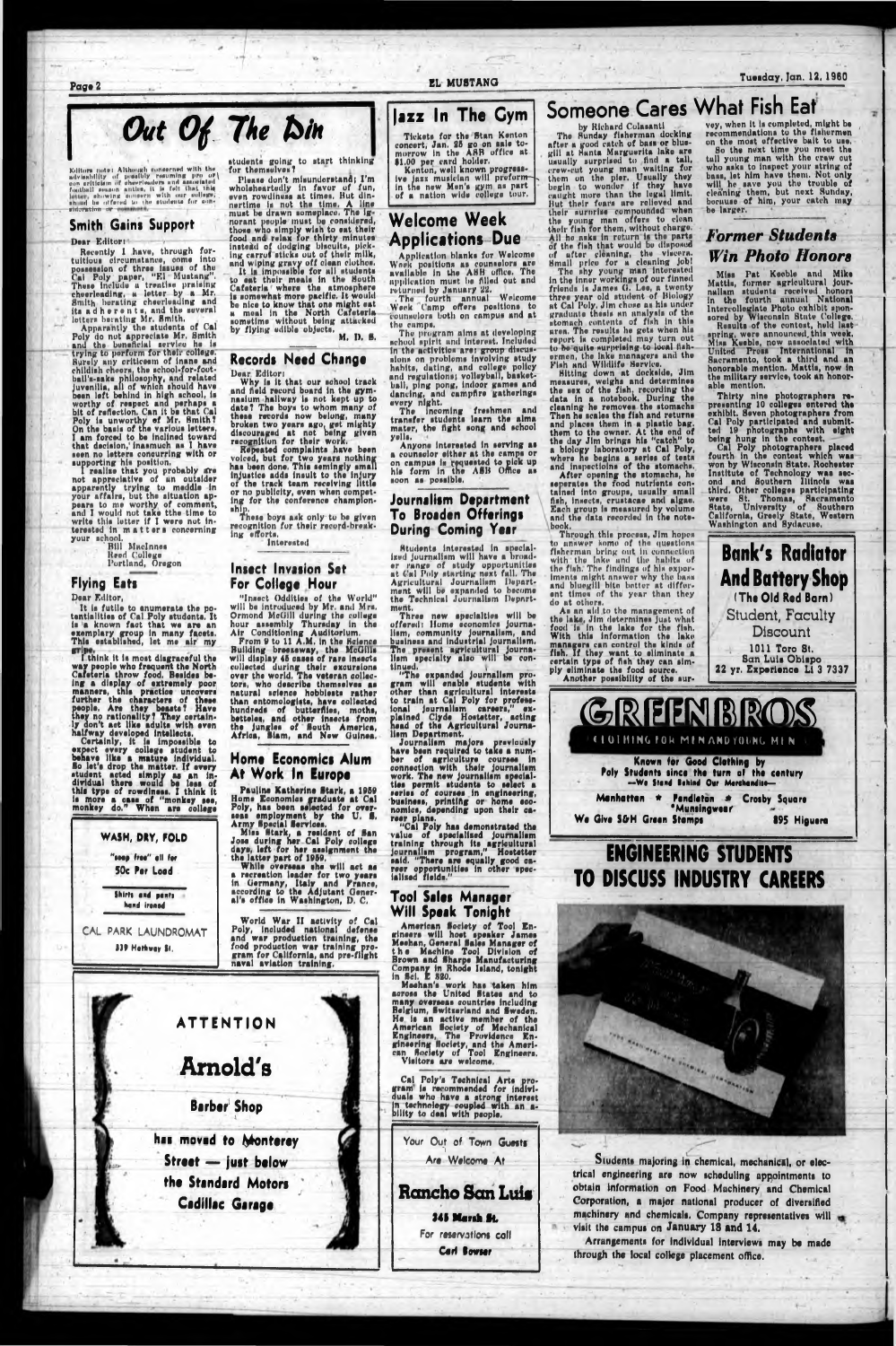Page 2

EL MUSTANG

#### **Tuesday, Jan. 12, 1960**

# Out Of The Din

Editors note: Although some<br>erned with the advisability of possibly resuming pro or<br>\oon ariticism of these leaders and associated football sensitive in<br>the field of the line of the line of the line of the line in this<br>se

#### **Smith Gains Support**

#### Dear Editor:

Recently I have, through for-<br>tuitious circumstance, come into tuitious circumstance, come into<br>possession of three issues of the<br>Cal Poly paper, "El Mustang",<br>These include a treative praising<br>cheerleading, a letter by a Mr.<br>Smith berating cheerleading and<br>its ad h e r e n t s, and t

Apparantly the students of Cal Poly do not appreciate Mr. Smith<br>and the beneficial service he is trying to perform for their college. Surely any criticesm of inane and Rurely any criticesm of inane and<br>childish cheers, the school-for-foot-<br>ball's-sake philosophy, and related<br>juvenilis, all of which should have<br>been left behind in high school, is<br>worthy of respect and perhaps a<br>bit of ref

supporting his position.<br>
I realize that you probably are<br>
not appreciative of an outsider<br>
apparently trying to meddle in<br>
your affairs, but the situation appears to me worthy of comment, and I would not take the time to write this letter if I were not interested in matters concerning your school.

**Bill MacInnes** Reed College<br>Portland, Oregon

**Flying Eats** 

#### Dear Editor,

It is futile to enumerate the potentialities of Cal Poly students. It is a known fact that we are an exemplary group in many facets.<br>This established, let me air my

gripe.<br>I think it is most disgraceful the way people who frequent the North<br>Cafeteria throw food, Besides be-

Cafeteria throw food. Besides be-<br>lng a display of extremely poor<br>manners, this practice uncovers<br>further the characters of these<br>people. Are they beasts? Have<br>hey no rationality? They certain-<br>ly don't act like adults wit

### WASH, DRY, FOLD "seep free" all for 50c Per Load

students going to start thinking<br>for themselves?

Please don't misunderstand; I'm riuane don't minimaterianal 1 m<br>wholeheartedly in favor of fun,<br>wwn rowdiness at times. But din-<br>nertime is not the time. A line<br>must be drawn someplace. The ignorant people must be considered,<br>those who simply wish to eat their<br>food and relax for thirty minutes instead of dodging blacuits, pick-<br>ing carrot sticks out of their milk, and wiping gravy off clean clothes.<br>It is impossible for all students

to eat their meals in the Bouth<br>Cafeteria where the atmosphere<br>is somewhat more pacific. It would be nice to know that one might eat a meal in the North Cafeteria.<br>nometime without being attacked<br>by flying edible objects. M. D. S.

#### Records Need Change Dear Editor:

Why is it that our school track and field record board in the gymnasium hallway is not kept up to<br>date? The boys to whom many of<br>these records now belong, many

these records now belong, many<br>broken two years ago, get mighty<br>discouraged at not being given<br>recognition for their work.<br>Repeated complaints have been<br>voiced, but for two years nothing<br>has been done. This semingly small<br> of the track team receiving little or no publicity, even when competing for the conference champion-

ship.<br>These boys ask only to be given<br>recognition for their record-break $ln<sub>K</sub>$ efforts, Interested

#### **Insect Invasion Set** For College Hour

"Insect Oddition of the World" will be introduced by Mr. and Mrs. Ormond McGill during the college hour assembly Thursday in the

Air Conditioning Auditorium.<br>From 9 to 11 A.M. in the Relence<br>Building breeneway, the McGilla<br>will display 45 cases of rare insects collected during their excursions<br>over the world. The veteran collectors, who describe themselves as natural science hobbiests rather than entomologists, have collected hundreds of butterflies, moths,<br>betteles, and other insects from<br>the jungles of South America,<br>Africa, Siam, and New Guinea.

#### Home Economics Alum At Work In Europe

Pauline Katherine Stark, a 1959 Fauline Katherine Btark, a 1959<br>Home Economics graduate at Cal<br>Poly, has been selected for over-<br>seas employment by the U. S.<br>Army Special Services.<br>Miss Stark, a resident of San<br>Jose during her Cal Poly college<br>days, left

the latter part of 1959.

While overseas the will act as a recreation leader for two years<br>in Germany, Italy and Prance,<br>according to the Adjutant General's office in Washington, D.C.

# lazz In The Cym

Tickets for the Stan Kenton<br>concert, Jan. 25 go on sale to-<br>morrow in the ASB office at<br>\$1.00 per card holder.<br>Kenton, well known progress-

ive jazz musician will proformin the new Men's gym as part of a nation wide college tour.

### **Welcome Week Applications Due**

Application blanks for Welcome<br>Week positions as counselors are<br>available in the ASH office. The application must be filled out and

returned by January 22.<br>The fourth annual Welcome<br>Week Camp offers positions to<br>counselors both on campus and at the camps.

The program aims at developing<br>school spirit and interest. Included in the activities are: group discussions on problems involving study habits, dating, and college policy and regulations; volleyball, basketball, ping pong, indoor games and dancing, and campfire gatherings every night.

The incoming freshmen and<br>transfer students learn the alma<br>mater, the fight song and school yells.

Anyone interested in serving as a counselor either at the camps or on campus in requested to pick up<br>his form in the ASB Office as soon as possible.

#### Journalism Department To Broaden Offerings **During Coming Year**

Students interested in specialized journalism will have a broader range of study opportunities ar Cal Poly starting next fall. The<br>Agricultural Journalism Depart-<br>ment will be expanded to become<br>the Technical Journalism Department.

Three new specialties will be offered: Home economics journalism, community journalism, and business and industrial journalism.<br>The present agricultural journa-<br>lism specialty also will be continued.

"The expanded journalism pro-<br>gram will enable students with<br>other than agricultural interests<br>to train at Cal Poly for professional journalism careers," ex-<br>plained Ciyde Hostetter, acting<br>head of the Agricultural Journalism Department.

lism Department.<br>
Journalism majors previously<br>
have been required to take a num-<br>
ber of agriculture courses in<br>
connection with their journalism<br>
work. The new journalism special-<br>
ties permit students to select a<br>
rerie

reer plans.<br>"Cal Poly has demonstrated the<br>value of specialised journalism<br>training through its agricultural<br>journalism program," Hostetter said. "There are equally good ca-<br>reer opportunities in other specialised fields."

### Someone Cares What Fish Eat by Richard Colasanti

The Sunday fisherman docking<br>after a good catch of bass or blue-<br>gill at Santa Marguerita lake are

usually surprised to find a tall. crew-cut young man waiting for<br>them on the pier. Usually they<br>begin to wonder if they have<br>calight more than the legal limit. But their fears are relieved and their surprise compounded when<br>the young man offers to clean<br>their fish for them, without charge.

their fish for them, without charge.<br>All he asks in return is the parts<br>of the fish that would be disposed<br>of after cleaning, the viscera.<br>Small price for a cleaning job!<br>The shy young man interested<br>in the inner workings at Cal Poly. Jim chose as his under stomach contents of fish in this aren. The results he gets when his report is completed may turn out to be quite surprising to local fish-<br>ermen, the lake managers and the Fish and Wildlife Service.<br>Sitting down at dockside, Jim

measures, weighs and determines<br>the sex of the fish, recording the<br>data in a notebook. During the<br>cleaning he removes the stomachs<br>Then he scales the fish and returns and places them in a plastic bag.<br>them to the owner. At the end of<br>the day Jim brings his "catch" to the day Jim brings his catton to<br>where he begins a series of tests<br>and impections of the stomachs.<br>After opening the stomachs, he<br>seperates the rood nutrients con-

tained into groups, usually small<br>this, insects, crustacae and algae.<br>Each group is measured by volume<br>and the data recorded in the notebook.

Through this process, Jim hopes to answer kome of the questions flaherman bring out in connection with the lake and the habits of the flah. The findings of his exporiments might answer why the bass and bluegill bite better at differ-<br>ent times of the year than they do at others.

As an aid to the management of the lake, Jim determines just what food is in the lake for the fish. With this information the lake managers can control the kinds of fish. If they want to eliminate a certain type of fish they can simply eliminate the food source. Another possibility of the sur-

vey, when it is completed, might be recommendations to the flahermen<br>on the most effective bait to use.

So the next time you meet the tail young man with the craw out who asks to inspect your string of bass, let him have them. Not only he save you the trouble of cleaning them, but next Sunday, because of him, your catch may be larger.

### **Former Students Win Photo Honors**

Miss Pat Keeble and Mike<br>Mattis, former agricultural jour-

Mattin, former agricultural journalism students received honors<br>in the fourth annual National<br>Intercollegiate Photo exhibit spon-<br>nord by Wisconsin State College.<br>Results of the contest, held last-<br>spring, were announced t

Thirty nine photographers re-<br>printy in the photographers re-<br>exhibit. Seven photographers from<br>Cal Poly participated and submit-<br>ted 19 photographs with eight<br>being hung in the contest.<br>Cal Poly photographers placed<br>cauth

fourth in the contest which was<br>won by Wisconsin State. Rochester Institute of Technology was sec-<br>ond and Southern Illinois was ona and southern minimum was<br>were St. Thomas, Sacramento<br>State, University of Southern<br>California, Greely State, Western<br>Washington and Sydacuse.







### Tool Sales Manag Will Speak Tonight

VV III Speak 1 Unight 1<br>
American Society of Tool En-<br>
gineers will host speaker James<br>
Meehan, General Sales Manager of<br>
the Machine Tool Division<br>
Speaker and Sharpe Manufacturing<br>
Company in Rhode Island, tonight<br>
in Sc

Belgium, Switserland and Sweden. Beigium, Bwitzerland and Bweden.<br>He is an active member of the<br>American Bociety of Mechanical<br>Engineers, The Providence Engineering Bociety, and the Ameri-<br>can Bociety of Tool Engineers.<br>Visitors are welcome.

Cal Poly's Technical Arts produals who have a strong interest<br>in technology coupled with an a-<br>bility to deal with people.

Your Out of Town Guests Are Welcome At

**Rancho San Luis** 345 Marsh St. For reservations call Carl Bowser



Students majoring in chemical, mechanical, or electrical engineering are now scheduling appointments to obtain information on Food Machinery and Chemical Corporation, a major national producer of diversified machinery and chemicals. Company representatives will visit the campus on January 18 and 14.

Arrangements for individual interviews may be made through the local college placement office.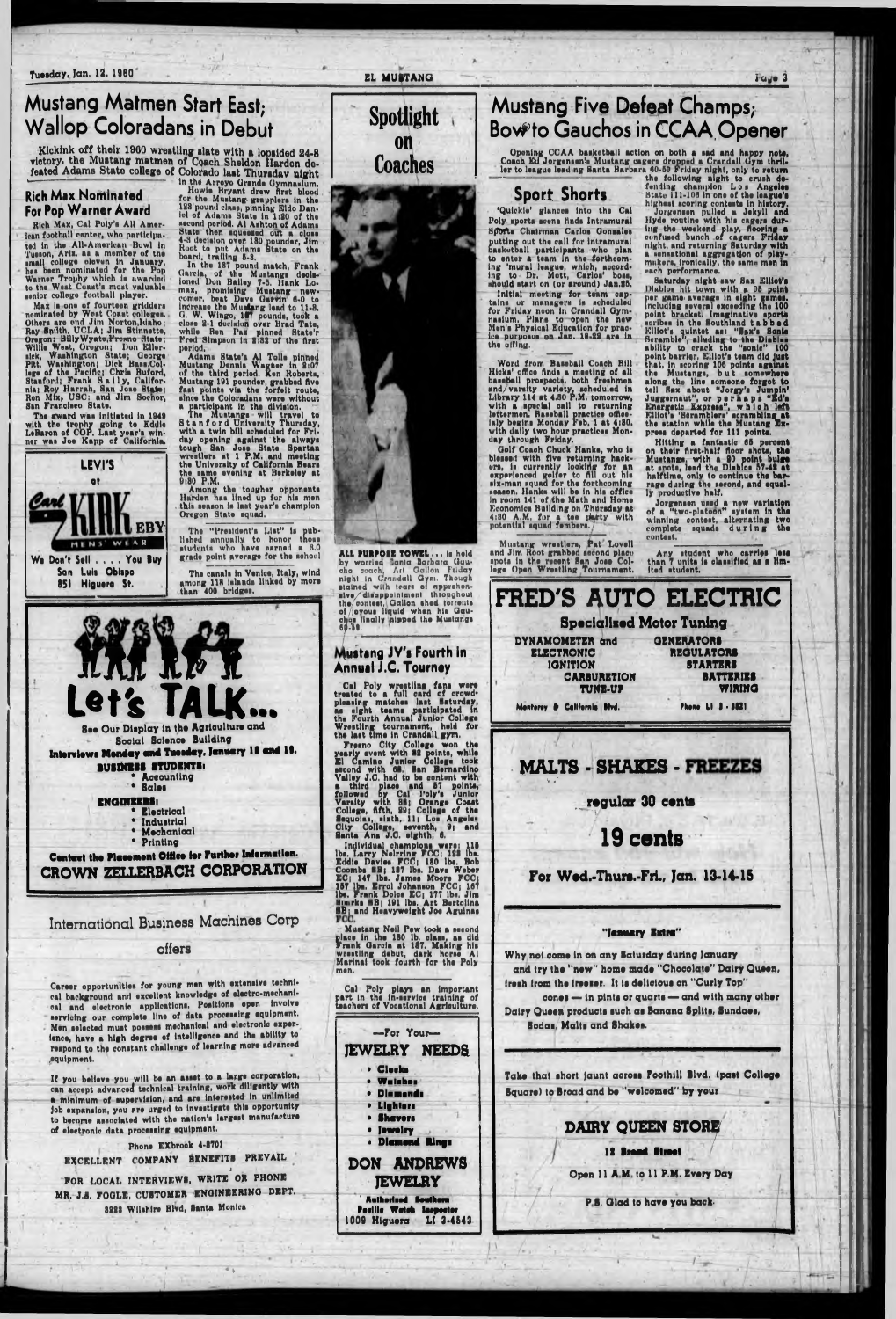Tuesday, Jan. 12, 1960

### **Mustang Matmen Start East: Wallop Coloradans in Debut**

Kickink off their 1960 wrestling slate with a lopsided 24-8 victory, the Mustang matmen of Coach Sheldon Harden defeated Adams State college of Colorado last Thursday night

#### **Rich Max Nominated** For Pop Warner Award

Rich Max, Cal Poly's All American football center, who participated in the All-American Bowl in ted in the All-American Bowl in<br>Tuesdal college eleven in January,<br>has been nominated for the Pop<br>Warner Trophy which is awarded<br>to the Wast Coast's most valuable senior college football player.

Max is one of fourteen gridders<br>noninated by West Coast colleges.<br>Others are ond Jim Norton, Idaho;<br>Ray Smith, UCLA; Jim Stinnette, Oregon: Billy Wyate, Freano State; Oregon: Billy Wyate, Freeno State;<br>Willie West, Oregon; Don Eller-<br>slek, Washington State; George<br>Pitt, Washington; Dick Bass.Col-<br>lege of the Pacific; Chris Buford,<br>Stanford; Frank Sally, Califor-<br>nia; Roy Harrah, San Jos

The sward was initiated in 1949 with the trophy going to Eddie<br>LeBaron of COP, Last year's win-<br>ner was Joe Kapp of California.



851 Higuera St.

Colorado laat Thursday night<br>in the Arroyo Grande Gymnaulum,<br>in the Arroyo Grande Gymnaulum,<br>Howis Bryant drew first blood<br>for the Muutang grapplers in the<br>123 pound class, pinning Edo Dan-<br>iel of Adams State in 1120 of th period.

period.<br>
Adams State's Al Tolle pinned<br>
Mustang Dennis Wagner in 2:07<br>
of the third period. Ken Roberts,<br>
Mustang 191 pounder, grabbed five<br>
fast points via the forfeit route,<br>
since the Coloradans were without<br>
a particip

day opening against the always<br>tough San Jose State Spartan<br>wrestlers at 1 P.M. and meeting<br>the University of California Bears the same evening at Berkeley at 9:30 P.M.

The "President's List" is published annually to honor those students who have parned a 8.0 grade point average for the school

than 400 bridges.





Contact the Placement Office for Further Information. CROWN ZELLERBACH CORPORATION

### **Mustang Five Defeat Champs; Bow to Gauchos in CCAA Opener**

Opening CCAA basketball action on both a sad and happy note,<br>Coach Ed Jorgensen's Mustang cagers dropped a Crandall Gym thrill-<br>ler to league leading Santa Barbara 60-59 Friday night, only to return<br>the following night to

'Quickie' glances into the Cal Poly sports scene finds Intramural Soorts Chairman Carlos Gonsales putting out the call for intramural<br>basketball participants who plan<br>to enter a team in the forthcom-<br>ing 'mural league, which, accord-<br>ing 'mural league, which, accord-<br>ing to Dr. Mott, Carlos' boas,<br>should start on (or a Initial meeting for team captains or managers is scheduled<br>for Friday noon in Crandall Gymnasium. Plans to open the new<br>Men's Physical Education for pracice purposus on Jan. 18-22 are in the alling.

Word from Baseball Coach Bill Word from Baseball Coach Bill<br>Hicks office finds a meeting of all<br>baseBall prospects, both freshmen<br>and/varsity variety, scheduled in<br>Library 114 at 4.50 P.M. tomorrow,<br>with a special call to returning<br>lettermen. Baseball with daily two hour practices Monday through Friday.

day through Friday.<br>
Golf Coach Chuck Hanks, who is<br>
blessed with five returning hack-<br>
ers, in currently looking for an<br>
experienced golfer to fill out his<br>
six-man squad for the forthcoming<br>
season. Hanks will be in his Economics Building on Thursday at 4:30 A.M. for a tee party with<br>potential squad fembers.

Mustang wreatlers, Pat Lovell<br>and Jim Root grabbed second place spots in the recent San Jose College Open Wrestling Tournament.

bighest script in one of the league's<br>highest script contents in history.<br>Jorgensen pulled a Jekyll and<br>Hyde routine with his cagers dur-<br>ing-the weekend play, flooring a<br>confused bunch of cagers Friday<br>night, and returnin each performance.

Saturday night saw Sax Elliot's<br>Diablos hit town with a 05 point<br>per game average in eight games.<br>including several exceeding the 100 including several exceeding the 100<br>point bracket. Imaginative sports<br>saribes in the Southland tab b ad<br>Elliot's quintet as: "Sax's Sonic<br>Scramble", alluding to the Diables<br>Sonic Sonic Sonic Sonic Sonic Sonic Sonic Sonic S press departed for 111 points.

Hitley a fantastic 65 percent<br>mission their first-half floor shots, the<br>Mustangs, with a 20 point bulge<br>at spots, lead the Disbies 57-42 at<br>halftime, only to continue the bar-<br>rage during the second, and equal-<br>ly producti

Jorgensen used a new variation<br>of a "two-platoon" system in the<br>winning contest, alternating two<br>complete squade during the contest.

Any student who carries less<br>than 7 units is classified as a lim-<br>ited student.



 $I \alpha$ <sub>w</sub>e 3

International Business Machines Corp

#### offers

Career opportunities for young men with extensive technical background and excellent knowledge of electro-mechanical and electronic applications. Positions open involve servicing our complete line of data processing equipment. Men selected must possess mechanical and electronic experience, have a high degree of intelligence and the ability to respond to the constant challenge of learning more advanced equipment.

If you believe you will be an asset to a large corporation, can accept advanced technical training, work diligently with a minimum of supervision, and are interested in unlimited job expansion, you are urged to investigate this opportunity to become associated with the nation's largest manufacture of electronic data processing equipment.

Phone EXbrook 4-8701 EXCELLENT COMPANY BENEFITS PREVAIL FOR LOCAL INTERVIEWS, WRITE OR PHONE MR. J.S. FOGLE, CUSTOMER ENGINEERING DEPT. 3223 Wilshire Blvd, Santa Monica

nanta Ana J.O. eigntn, c.<br>
Individual champions were: 115<br>
1bs. Larry Neltring FCC; 123 ibs.<br>
Eddie David ERI 187 ibs. Dave Weber<br>
Combe ERI 187 ibs. Dave Weber<br>
EC; 147 ibs. James Moore FCC;<br>
157 ibs. Errol Johanson FCC;

Mustang JV's Fourth in

Cal Poly wreating fans were<br>treated to a full card of crowd-<br>pleasing matches last Baturday,<br>as eight teams participated in<br>the Fourth Annual Junior College<br>Wrestling tournament, held for-<br>the last time in Crandall gym.

**Annual J.C. Tourney** 

EL MUSTANG

Spotlight

**ON** 

**Coaches** 

Mustang Neil Pew took a second<br>place in the 130 lb. class, as did<br>Frank Garcia at 187. Making his<br>wrestling debut, dark horse Al Marinai took fourth for the Poly men.

Cal Poly plays an important<br>part in the in-service training of teachers of Vocational Agriculture.



Pacilie Wetch Inspector 1009 Higuera LI 3-4543

#### "Jenuery Extre"

Why not come in on any Saturday during January and try the "new" home made "Chocolate" Dairy Queen. fresh from the freezer. It is delicious on "Curly Top"

cones - in pints or quarts - and with many other Dairy Queen products such as Banana Splits, Sundaes, Sodan, Malts and Shakes.

Take that short jaunt across Foothill Blvd. (past College Square) to Broad and be "welcomed" by your

### DAIRY QUEEN STORE

12 Brood Street

Open 11 A.M. to 11 P.M. Every Day

P.S. Glad to have you back.